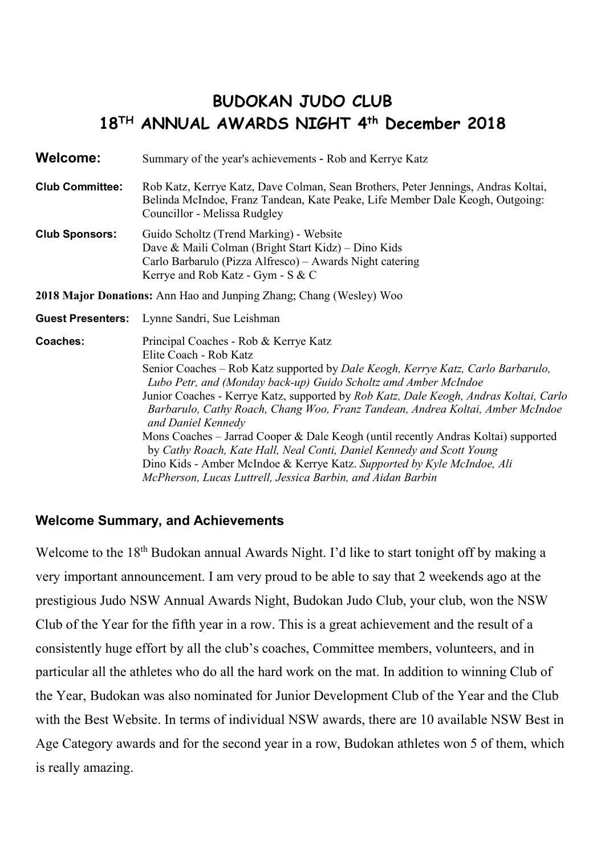# **BUDOKAN JUDO CLUB 18TH ANNUAL AWARDS NIGHT 4th December 2018**

**Welcome:** Summary of the year's achievements - Rob and Kerrye Katz

- **Club Committee:** Rob Katz, Kerrye Katz, Dave Colman, Sean Brothers, Peter Jennings, Andras Koltai, Belinda McIndoe, Franz Tandean, Kate Peake, Life Member Dale Keogh, Outgoing: Councillor - Melissa Rudgley
- **Club Sponsors:** Guido Scholtz (Trend Marking) Website Dave & Maili Colman (Bright Start Kidz) – Dino Kids Carlo Barbarulo (Pizza Alfresco) – Awards Night catering Kerrye and Rob Katz - Gym - S & C

**2018 Major Donations:** Ann Hao and Junping Zhang; Chang (Wesley) Woo

**Guest Presenters:** Lynne Sandri, Sue Leishman

**Coaches:** Principal Coaches - Rob & Kerrye Katz Elite Coach - Rob Katz Senior Coaches – Rob Katz supported by *Dale Keogh, Kerrye Katz, Carlo Barbarulo, Lubo Petr, and (Monday back-up) Guido Scholtz amd Amber McIndoe* Junior Coaches - Kerrye Katz, supported by *Rob Katz, Dale Keogh, Andras Koltai, Carlo Barbarulo, Cathy Roach, Chang Woo, Franz Tandean, Andrea Koltai, Amber McIndoe and Daniel Kennedy*  Mons Coaches – Jarrad Cooper & Dale Keogh (until recently Andras Koltai) supported by *Cathy Roach, Kate Hall, Neal Conti, Daniel Kennedy and Scott Young* Dino Kids - Amber McIndoe & Kerrye Katz. *Supported by Kyle McIndoe, Ali McPherson, Lucas Luttrell, Jessica Barbin, and Aidan Barbin*

## **Welcome Summary, and Achievements**

Welcome to the 18<sup>th</sup> Budokan annual Awards Night. I'd like to start tonight off by making a very important announcement. I am very proud to be able to say that 2 weekends ago at the prestigious Judo NSW Annual Awards Night, Budokan Judo Club, your club, won the NSW Club of the Year for the fifth year in a row. This is a great achievement and the result of a consistently huge effort by all the club's coaches, Committee members, volunteers, and in particular all the athletes who do all the hard work on the mat. In addition to winning Club of the Year, Budokan was also nominated for Junior Development Club of the Year and the Club with the Best Website. In terms of individual NSW awards, there are 10 available NSW Best in Age Category awards and for the second year in a row, Budokan athletes won 5 of them, which is really amazing.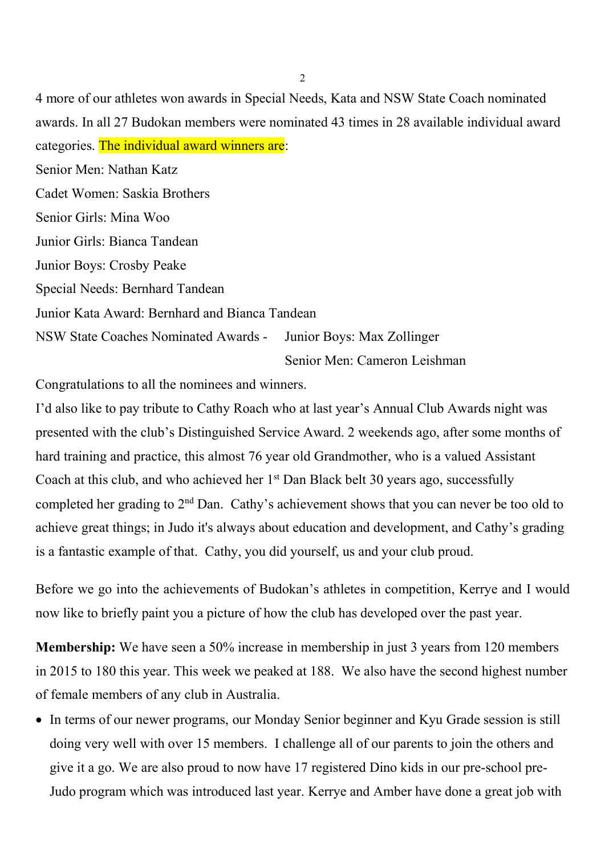4 more of our athletes won awards in Special Needs, Kata and NSW State Coach nominated awards. In all 27 Budokan members were nominated 43 times in 28 available individual award categories. The individual award winners are: Senior Men: Nathan Katz Cadet Women: Saskia Brothers Senior Girls: Mina Woo Junior Girls: Bianca Tandean Junior Boys: Crosby Peake Special Needs: Bernhard Tandean Junior Kata Award: Bernhard and Bianca Tandean NSW State Coaches Nominated Awards - Junior Boys: Max Zollinger Senior Men: Cameron Leishman

Congratulations to all the nominees and winners.

I'd also like to pay tribute to Cathy Roach who at last year's Annual Club Awards night was presented with the club's Distinguished Service Award. 2 weekends ago, after some months of hard training and practice, this almost 76 year old Grandmother, who is a valued Assistant Coach at this club, and who achieved her  $1<sup>st</sup>$  Dan Black belt 30 years ago, successfully completed her grading to 2<sup>nd</sup> Dan. Cathy's achievement shows that you can never be too old to achieve great things; in Judo it's always about education and development, and Cathy's grading is a fantastic example of that. Cathy, you did yourself, us and your club proud.

Before we go into the achievements of Budokan's athletes in competition, Kerrye and I would now like to briefly paint you a picture of how the club has developed over the past year.

**Membership:** We have seen a 50% increase in membership in just 3 years from 120 members in 2015 to 180 this year. This week we peaked at 188. We also have the second highest number of female members of any club in Australia.

• In terms of our newer programs, our Monday Senior beginner and Kyu Grade session is still doing very well with over 15 members. I challenge all of our parents to join the others and give it a go. We are also proud to now have 17 registered Dino kids in our pre-school pre-Judo program which was introduced last year. Kerrye and Amber have done a great job with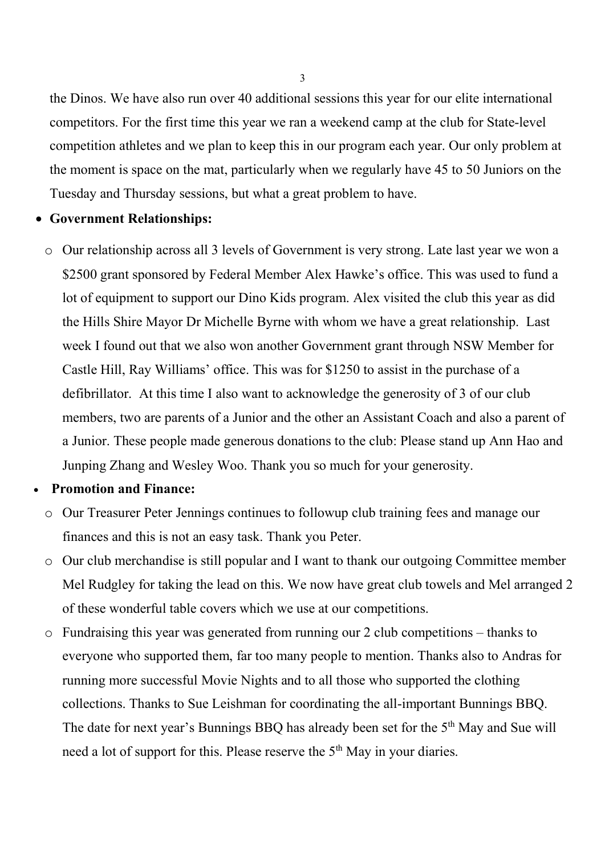the Dinos. We have also run over 40 additional sessions this year for our elite international competitors. For the first time this year we ran a weekend camp at the club for State-level competition athletes and we plan to keep this in our program each year. Our only problem at the moment is space on the mat, particularly when we regularly have 45 to 50 Juniors on the Tuesday and Thursday sessions, but what a great problem to have.

#### • **Government Relationships:**

o Our relationship across all 3 levels of Government is very strong. Late last year we won a \$2500 grant sponsored by Federal Member Alex Hawke's office. This was used to fund a lot of equipment to support our Dino Kids program. Alex visited the club this year as did the Hills Shire Mayor Dr Michelle Byrne with whom we have a great relationship. Last week I found out that we also won another Government grant through NSW Member for Castle Hill, Ray Williams' office. This was for \$1250 to assist in the purchase of a defibrillator. At this time I also want to acknowledge the generosity of 3 of our club members, two are parents of a Junior and the other an Assistant Coach and also a parent of a Junior. These people made generous donations to the club: Please stand up Ann Hao and Junping Zhang and Wesley Woo. Thank you so much for your generosity.

## • **Promotion and Finance:**

- o Our Treasurer Peter Jennings continues to followup club training fees and manage our finances and this is not an easy task. Thank you Peter.
- o Our club merchandise is still popular and I want to thank our outgoing Committee member Mel Rudgley for taking the lead on this. We now have great club towels and Mel arranged 2 of these wonderful table covers which we use at our competitions.
- o Fundraising this year was generated from running our 2 club competitions thanks to everyone who supported them, far too many people to mention. Thanks also to Andras for running more successful Movie Nights and to all those who supported the clothing collections. Thanks to Sue Leishman for coordinating the all-important Bunnings BBQ. The date for next year's Bunnings BBQ has already been set for the 5<sup>th</sup> May and Sue will need a lot of support for this. Please reserve the 5<sup>th</sup> May in your diaries.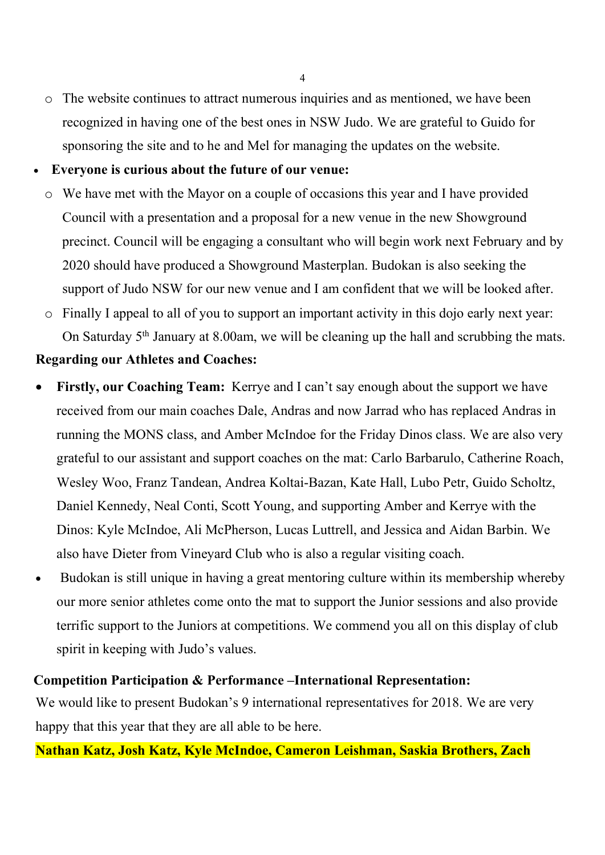- o The website continues to attract numerous inquiries and as mentioned, we have been recognized in having one of the best ones in NSW Judo. We are grateful to Guido for sponsoring the site and to he and Mel for managing the updates on the website.
- **Everyone is curious about the future of our venue:**
	- o We have met with the Mayor on a couple of occasions this year and I have provided Council with a presentation and a proposal for a new venue in the new Showground precinct. Council will be engaging a consultant who will begin work next February and by 2020 should have produced a Showground Masterplan. Budokan is also seeking the support of Judo NSW for our new venue and I am confident that we will be looked after.
	- o Finally I appeal to all of you to support an important activity in this dojo early next year: On Saturday  $5<sup>th</sup>$  January at 8.00am, we will be cleaning up the hall and scrubbing the mats.

## **Regarding our Athletes and Coaches:**

- **Firstly, our Coaching Team:** Kerrye and I can't say enough about the support we have received from our main coaches Dale, Andras and now Jarrad who has replaced Andras in running the MONS class, and Amber McIndoe for the Friday Dinos class. We are also very grateful to our assistant and support coaches on the mat: Carlo Barbarulo, Catherine Roach, Wesley Woo, Franz Tandean, Andrea Koltai-Bazan, Kate Hall, Lubo Petr, Guido Scholtz, Daniel Kennedy, Neal Conti, Scott Young, and supporting Amber and Kerrye with the Dinos: Kyle McIndoe, Ali McPherson, Lucas Luttrell, and Jessica and Aidan Barbin. We also have Dieter from Vineyard Club who is also a regular visiting coach.
- Budokan is still unique in having a great mentoring culture within its membership whereby our more senior athletes come onto the mat to support the Junior sessions and also provide terrific support to the Juniors at competitions. We commend you all on this display of club spirit in keeping with Judo's values.

## **Competition Participation & Performance –International Representation:**

We would like to present Budokan's 9 international representatives for 2018. We are very happy that this year that they are all able to be here.

## **Nathan Katz, Josh Katz, Kyle McIndoe, Cameron Leishman, Saskia Brothers, Zach**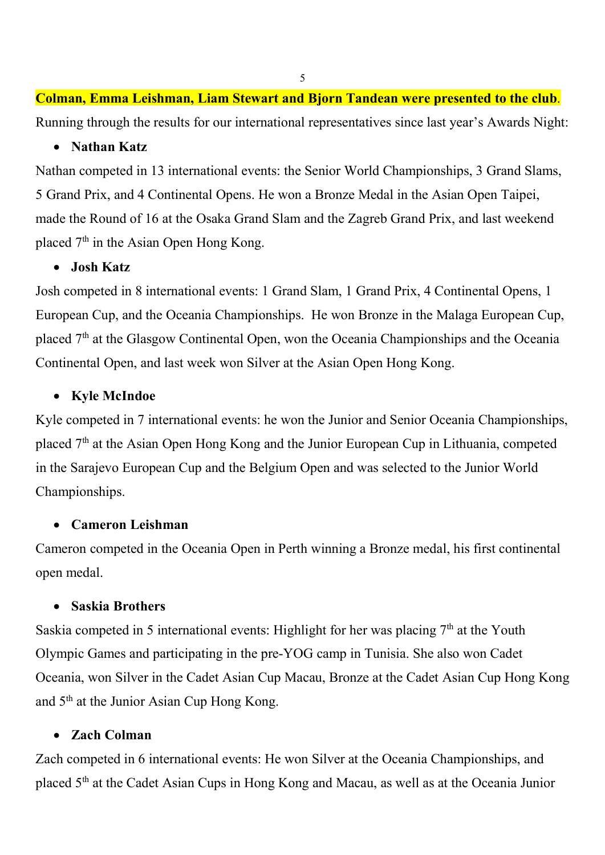# **Colman, Emma Leishman, Liam Stewart and Bjorn Tandean were presented to the club**. Running through the results for our international representatives since last year's Awards Night:

## • **Nathan Katz**

Nathan competed in 13 international events: the Senior World Championships, 3 Grand Slams, 5 Grand Prix, and 4 Continental Opens. He won a Bronze Medal in the Asian Open Taipei, made the Round of 16 at the Osaka Grand Slam and the Zagreb Grand Prix, and last weekend placed  $7<sup>th</sup>$  in the Asian Open Hong Kong.

## • **Josh Katz**

Josh competed in 8 international events: 1 Grand Slam, 1 Grand Prix, 4 Continental Opens, 1 European Cup, and the Oceania Championships. He won Bronze in the Malaga European Cup, placed 7<sup>th</sup> at the Glasgow Continental Open, won the Oceania Championships and the Oceania Continental Open, and last week won Silver at the Asian Open Hong Kong.

## • **Kyle McIndoe**

Kyle competed in 7 international events: he won the Junior and Senior Oceania Championships, placed 7th at the Asian Open Hong Kong and the Junior European Cup in Lithuania, competed in the Sarajevo European Cup and the Belgium Open and was selected to the Junior World Championships.

## • **Cameron Leishman**

Cameron competed in the Oceania Open in Perth winning a Bronze medal, his first continental open medal.

## • **Saskia Brothers**

Saskia competed in 5 international events: Highlight for her was placing  $7<sup>th</sup>$  at the Youth Olympic Games and participating in the pre-YOG camp in Tunisia. She also won Cadet Oceania, won Silver in the Cadet Asian Cup Macau, Bronze at the Cadet Asian Cup Hong Kong and 5th at the Junior Asian Cup Hong Kong.

## • **Zach Colman**

Zach competed in 6 international events: He won Silver at the Oceania Championships, and placed 5th at the Cadet Asian Cups in Hong Kong and Macau, as well as at the Oceania Junior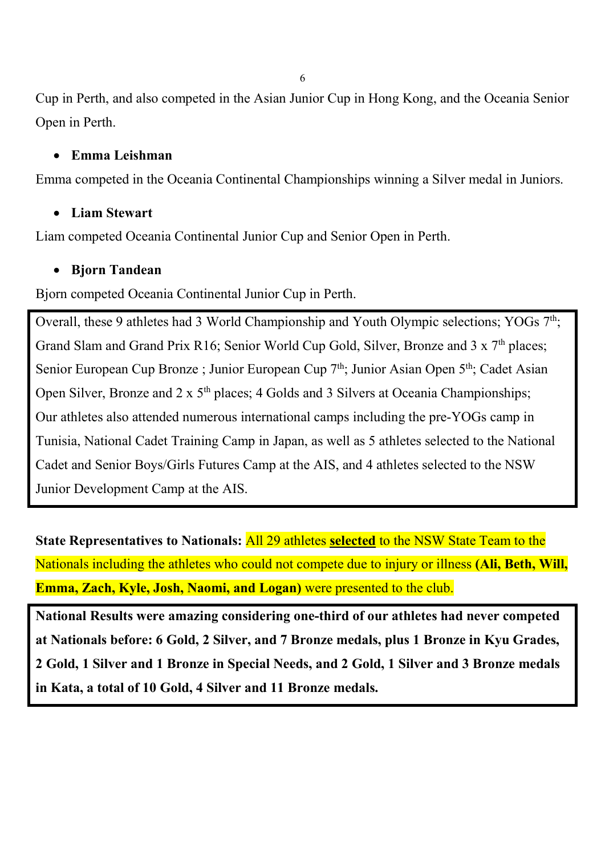Cup in Perth, and also competed in the Asian Junior Cup in Hong Kong, and the Oceania Senior Open in Perth.

## • **Emma Leishman**

Emma competed in the Oceania Continental Championships winning a Silver medal in Juniors.

## • **Liam Stewart**

Liam competed Oceania Continental Junior Cup and Senior Open in Perth.

## • **Bjorn Tandean**

Bjorn competed Oceania Continental Junior Cup in Perth.

Overall, these 9 athletes had 3 World Championship and Youth Olympic selections; YOGs  $7<sup>th</sup>$ ; Grand Slam and Grand Prix R16; Senior World Cup Gold, Silver, Bronze and 3 x 7<sup>th</sup> places; Senior European Cup Bronze ; Junior European Cup  $7<sup>th</sup>$ ; Junior Asian Open  $5<sup>th</sup>$ ; Cadet Asian Open Silver, Bronze and  $2 \times 5^{th}$  places; 4 Golds and 3 Silvers at Oceania Championships; Our athletes also attended numerous international camps including the pre-YOGs camp in Tunisia, National Cadet Training Camp in Japan, as well as 5 athletes selected to the National Cadet and Senior Boys/Girls Futures Camp at the AIS, and 4 athletes selected to the NSW Junior Development Camp at the AIS.

**State Representatives to Nationals:** All 29 athletes **selected** to the NSW State Team to the Nationals including the athletes who could not compete due to injury or illness **(Ali, Beth, Will, Emma, Zach, Kyle, Josh, Naomi, and Logan)** were presented to the club.

**National Results were amazing considering one-third of our athletes had never competed at Nationals before: 6 Gold, 2 Silver, and 7 Bronze medals, plus 1 Bronze in Kyu Grades, 2 Gold, 1 Silver and 1 Bronze in Special Needs, and 2 Gold, 1 Silver and 3 Bronze medals in Kata, a total of 10 Gold, 4 Silver and 11 Bronze medals.**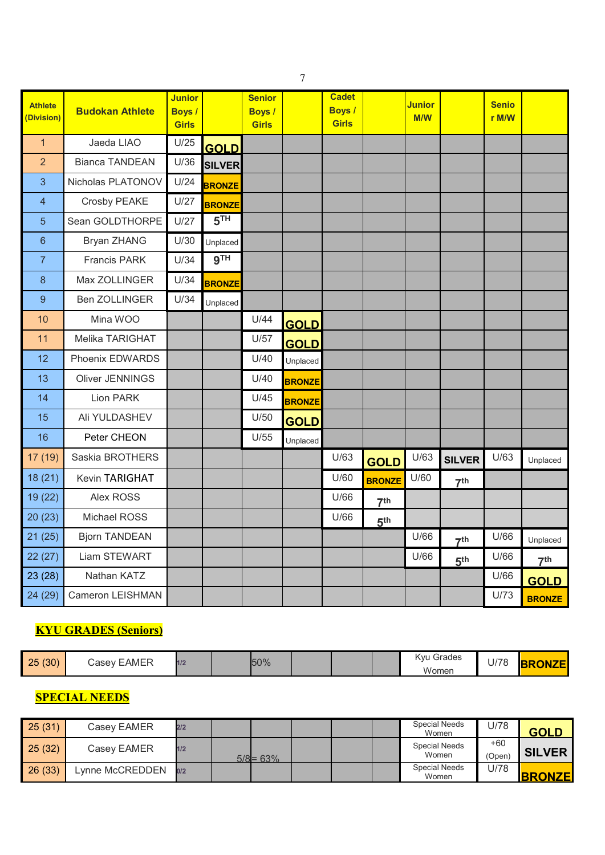| <b>Athlete</b><br>(Division) | <b>Budokan Athlete</b> | <b>Junior</b><br><b>Boys</b> /<br><b>Girls</b> |                 | <b>Senior</b><br><b>Boys</b> /<br><b>Girls</b> |               | <b>Cadet</b><br><b>Boys</b> /<br>Girls |                 | Junior<br>M/W |                 | <b>Senio</b><br>r M/W |                 |
|------------------------------|------------------------|------------------------------------------------|-----------------|------------------------------------------------|---------------|----------------------------------------|-----------------|---------------|-----------------|-----------------------|-----------------|
| $\overline{1}$               | Jaeda LIAO             | U/25                                           | <b>GOLD</b>     |                                                |               |                                        |                 |               |                 |                       |                 |
| $\overline{2}$               | <b>Bianca TANDEAN</b>  | U/36                                           | <b>SILVER</b>   |                                                |               |                                        |                 |               |                 |                       |                 |
| $\overline{3}$               | Nicholas PLATONOV      | U/24                                           | <b>BRONZE</b>   |                                                |               |                                        |                 |               |                 |                       |                 |
| $\overline{4}$               | Crosby PEAKE           | U/27                                           | <b>BRONZE</b>   |                                                |               |                                        |                 |               |                 |                       |                 |
| 5                            | Sean GOLDTHORPE        | U/27                                           | 5 <sup>TH</sup> |                                                |               |                                        |                 |               |                 |                       |                 |
| $6\phantom{1}6$              | Bryan ZHANG            | U/30                                           | Unplaced        |                                                |               |                                        |                 |               |                 |                       |                 |
| $\overline{7}$               | <b>Francis PARK</b>    | U/34                                           | 9 <sup>TH</sup> |                                                |               |                                        |                 |               |                 |                       |                 |
| 8                            | Max ZOLLINGER          | U/34                                           | <b>BRONZE</b>   |                                                |               |                                        |                 |               |                 |                       |                 |
| 9                            | <b>Ben ZOLLINGER</b>   | U/34                                           | Unplaced        |                                                |               |                                        |                 |               |                 |                       |                 |
| 10                           | Mina WOO               |                                                |                 | U/44                                           | <b>GOLD</b>   |                                        |                 |               |                 |                       |                 |
| 11                           | Melika TARIGHAT        |                                                |                 | U/57                                           | <b>GOLD</b>   |                                        |                 |               |                 |                       |                 |
| 12                           | Phoenix EDWARDS        |                                                |                 | U/40                                           | Unplaced      |                                        |                 |               |                 |                       |                 |
| 13                           | Oliver JENNINGS        |                                                |                 | U/40                                           | <b>BRONZE</b> |                                        |                 |               |                 |                       |                 |
| 14                           | Lion PARK              |                                                |                 | U/45                                           | <b>BRONZE</b> |                                        |                 |               |                 |                       |                 |
| 15                           | Ali YULDASHEV          |                                                |                 | U/50                                           | <b>GOLD</b>   |                                        |                 |               |                 |                       |                 |
| 16                           | Peter CHEON            |                                                |                 | U/55                                           | Unplaced      |                                        |                 |               |                 |                       |                 |
| 17 (19)                      | Saskia BROTHERS        |                                                |                 |                                                |               | U/63                                   | <b>GOLD</b>     | U/63          | <b>SILVER</b>   | U/63                  | Unplaced        |
| 18(21)                       | Kevin TARIGHAT         |                                                |                 |                                                |               | U/60                                   | <b>BRONZE</b>   | U/60          | 7 <sup>th</sup> |                       |                 |
| 19 (22)                      | Alex ROSS              |                                                |                 |                                                |               | U/66                                   | 7 <sup>th</sup> |               |                 |                       |                 |
| 20(23)                       | Michael ROSS           |                                                |                 |                                                |               | U/66                                   | 5 <sup>th</sup> |               |                 |                       |                 |
| 21(25)                       | <b>Bjorn TANDEAN</b>   |                                                |                 |                                                |               |                                        |                 | U/66          | 7 <sup>th</sup> | U/66                  | Unplaced        |
| 22(27)                       | Liam STEWART           |                                                |                 |                                                |               |                                        |                 | U/66          | 5 <sup>th</sup> | U/66                  | 7 <sup>th</sup> |
| 23 (28)                      | Nathan KATZ            |                                                |                 |                                                |               |                                        |                 |               |                 | U/66                  | <b>GOLD</b>     |
| 24 (29)                      | Cameron LEISHMAN       |                                                |                 |                                                |               |                                        |                 |               |                 | U/73                  | <b>BRONZE</b>   |

# **KYU GRADES (Seniors)**

| 25(30) | <b>EAMER</b><br>$\sqrt{a}$ sev | 1/2 |  | 50% |  |  |  | Grades<br>Kvu (<br>Women | 1/70<br>U/7 C | <b>ONIZE</b><br><u>KUNZEL</u> |
|--------|--------------------------------|-----|--|-----|--|--|--|--------------------------|---------------|-------------------------------|
|--------|--------------------------------|-----|--|-----|--|--|--|--------------------------|---------------|-------------------------------|

## **SPECIAL NEEDS**

| 25(31) | Casey EAMER    | 2/2 |             |  | <b>Special Needs</b><br>Women | U/78            | <b>GOLD</b>   |
|--------|----------------|-----|-------------|--|-------------------------------|-----------------|---------------|
| 25(32) | Casey EAMER    | 1/2 | $5/8$ = 63% |  | <b>Special Needs</b><br>Women | $+60$<br>(Open) | <b>SILVER</b> |
| 26(33) | vnne McCREDDEN | 0/2 |             |  | <b>Special Needs</b><br>Women | U/78            | <b>BRONZE</b> |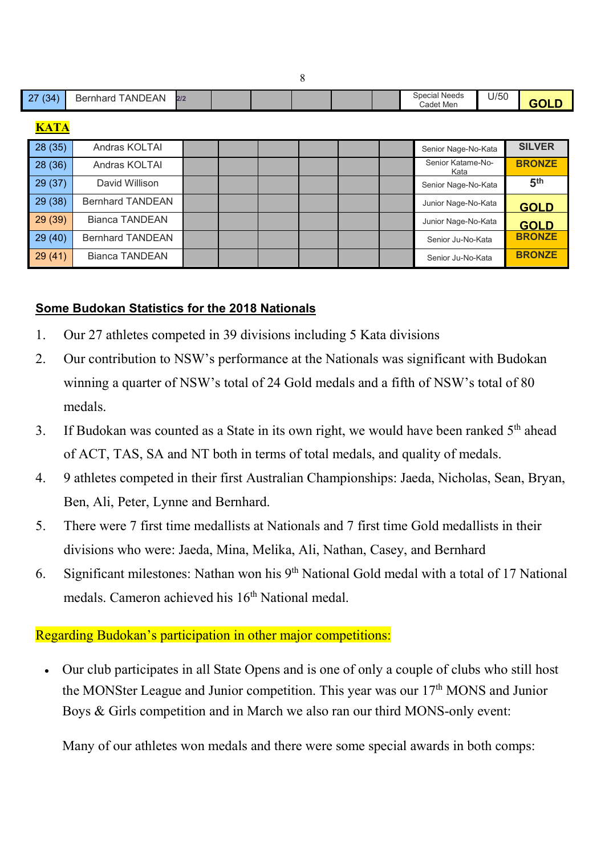|             |                                |  |  |  | <b>Special Needs</b>      | U/50 |                 |
|-------------|--------------------------------|--|--|--|---------------------------|------|-----------------|
| 27(34)      | <b>Bernhard TANDEAN</b><br>2/2 |  |  |  | Cadet Men                 |      | <b>GOLD</b>     |
| <b>KATA</b> |                                |  |  |  |                           |      |                 |
| 28(35)      | Andras KOLTAI                  |  |  |  | Senior Nage-No-Kata       |      | <b>SILVER</b>   |
| 28(36)      | Andras KOLTAI                  |  |  |  | Senior Katame-No-<br>Kata |      | <b>BRONZE</b>   |
| 29(37)      | David Willison                 |  |  |  | Senior Nage-No-Kata       |      | 5 <sup>th</sup> |
| 29(38)      | <b>Bernhard TANDEAN</b>        |  |  |  | Junior Nage-No-Kata       |      | <b>GOLD</b>     |
| 29(39)      | <b>Bianca TANDEAN</b>          |  |  |  | Junior Nage-No-Kata       |      | <b>GOLD</b>     |
| 29(40)      | <b>Bernhard TANDEAN</b>        |  |  |  | Senior Ju-No-Kata         |      | <b>BRONZE</b>   |
| 29(41)      | <b>Bianca TANDEAN</b>          |  |  |  | Senior Ju-No-Kata         |      | <b>BRONZE</b>   |

## **Some Budokan Statistics for the 2018 Nationals**

- 1. Our 27 athletes competed in 39 divisions including 5 Kata divisions
- 2. Our contribution to NSW's performance at the Nationals was significant with Budokan winning a quarter of NSW's total of 24 Gold medals and a fifth of NSW's total of 80 medals.
- 3. If Budokan was counted as a State in its own right, we would have been ranked  $5<sup>th</sup>$  ahead of ACT, TAS, SA and NT both in terms of total medals, and quality of medals.
- 4. 9 athletes competed in their first Australian Championships: Jaeda, Nicholas, Sean, Bryan, Ben, Ali, Peter, Lynne and Bernhard.
- 5. There were 7 first time medallists at Nationals and 7 first time Gold medallists in their divisions who were: Jaeda, Mina, Melika, Ali, Nathan, Casey, and Bernhard
- 6. Significant milestones: Nathan won his  $9<sup>th</sup>$  National Gold medal with a total of 17 National medals. Cameron achieved his 16<sup>th</sup> National medal.

## Regarding Budokan's participation in other major competitions:

• Our club participates in all State Opens and is one of only a couple of clubs who still host the MONSter League and Junior competition. This year was our 17<sup>th</sup> MONS and Junior Boys & Girls competition and in March we also ran our third MONS-only event:

Many of our athletes won medals and there were some special awards in both comps: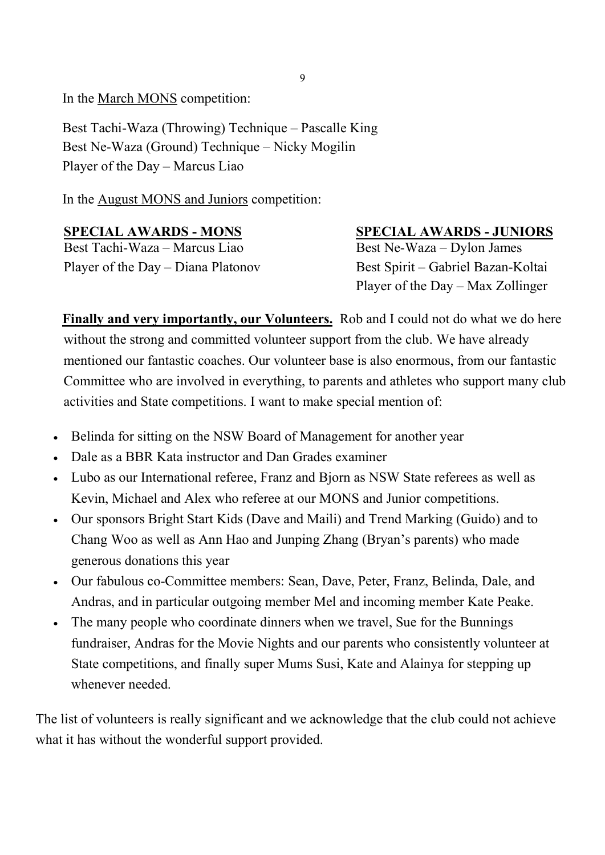In the March MONS competition:

Best Tachi-Waza (Throwing) Technique – Pascalle King Best Ne-Waza (Ground) Technique – Nicky Mogilin Player of the Day – Marcus Liao

In the August MONS and Juniors competition:

Best Tachi-Waza – Marcus Liao Best Ne-Waza – Dylon James Player of the Day – Diana Platonov Best Spirit – Gabriel Bazan-Koltai

## **SPECIAL AWARDS - MONS** SPECIAL AWARDS - JUNIORS

Player of the Day – Max Zollinger

**Finally and very importantly, our Volunteers.** Rob and I could not do what we do here without the strong and committed volunteer support from the club. We have already mentioned our fantastic coaches. Our volunteer base is also enormous, from our fantastic Committee who are involved in everything, to parents and athletes who support many club activities and State competitions. I want to make special mention of:

- Belinda for sitting on the NSW Board of Management for another year
- Dale as a BBR Kata instructor and Dan Grades examiner
- Lubo as our International referee, Franz and Bjorn as NSW State referees as well as Kevin, Michael and Alex who referee at our MONS and Junior competitions.
- Our sponsors Bright Start Kids (Dave and Maili) and Trend Marking (Guido) and to Chang Woo as well as Ann Hao and Junping Zhang (Bryan's parents) who made generous donations this year
- Our fabulous co-Committee members: Sean, Dave, Peter, Franz, Belinda, Dale, and Andras, and in particular outgoing member Mel and incoming member Kate Peake.
- The many people who coordinate dinners when we travel, Sue for the Bunnings fundraiser, Andras for the Movie Nights and our parents who consistently volunteer at State competitions, and finally super Mums Susi, Kate and Alainya for stepping up whenever needed.

The list of volunteers is really significant and we acknowledge that the club could not achieve what it has without the wonderful support provided.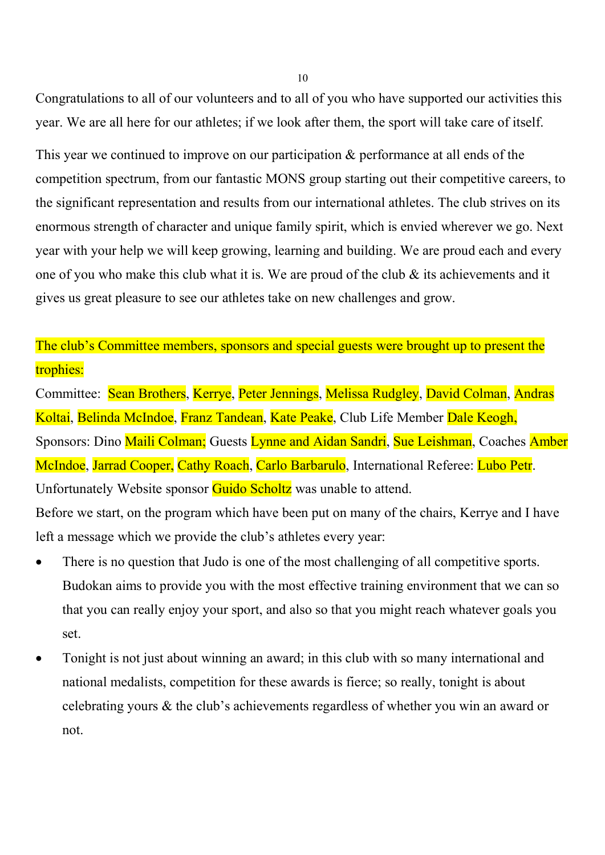Congratulations to all of our volunteers and to all of you who have supported our activities this year. We are all here for our athletes; if we look after them, the sport will take care of itself.

This year we continued to improve on our participation  $\&$  performance at all ends of the competition spectrum, from our fantastic MONS group starting out their competitive careers, to the significant representation and results from our international athletes. The club strives on its enormous strength of character and unique family spirit, which is envied wherever we go. Next year with your help we will keep growing, learning and building. We are proud each and every one of you who make this club what it is. We are proud of the club & its achievements and it gives us great pleasure to see our athletes take on new challenges and grow.

The club's Committee members, sponsors and special guests were brought up to present the trophies:

Committee: Sean Brothers, Kerrye, Peter Jennings, Melissa Rudgley, David Colman, Andras Koltai, Belinda McIndoe, Franz Tandean, Kate Peake, Club Life Member Dale Keogh, Sponsors: Dino Maili Colman; Guests Lynne and Aidan Sandri, Sue Leishman, Coaches Amber McIndoe, Jarrad Cooper, Cathy Roach, Carlo Barbarulo, International Referee: Lubo Petr. Unfortunately Website sponsor Guido Scholtz was unable to attend.

Before we start, on the program which have been put on many of the chairs, Kerrye and I have left a message which we provide the club's athletes every year:

- There is no question that Judo is one of the most challenging of all competitive sports. Budokan aims to provide you with the most effective training environment that we can so that you can really enjoy your sport, and also so that you might reach whatever goals you set.
- Tonight is not just about winning an award; in this club with so many international and national medalists, competition for these awards is fierce; so really, tonight is about celebrating yours & the club's achievements regardless of whether you win an award or not.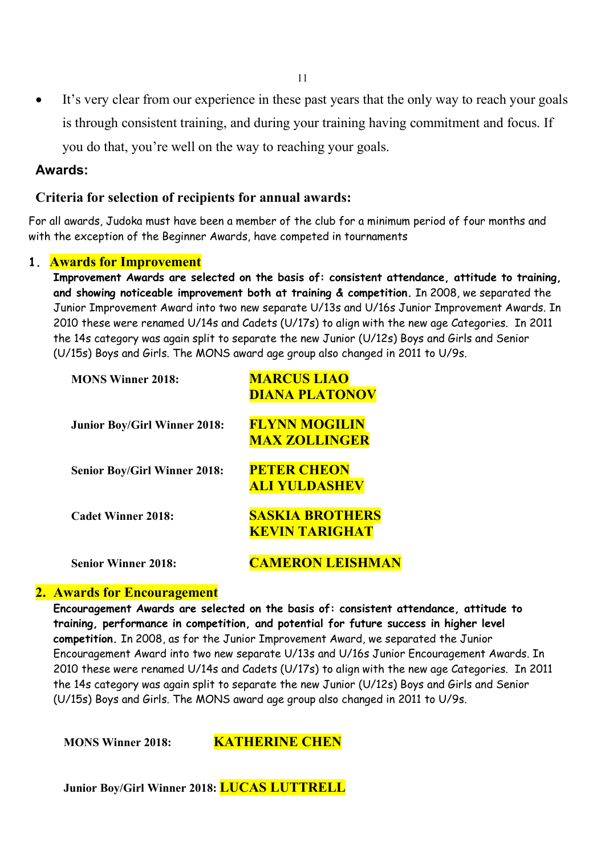It's very clear from our experience in these past years that the only way to reach your goals is through consistent training, and during your training having commitment and focus. If you do that, you're well on the way to reaching your goals.

#### **Awards:**

#### **Criteria for selection of recipients for annual awards:**

For all awards, Judoka must have been a member of the club for a minimum period of four months and with the exception of the Beginner Awards, have competed in tournaments

#### **1. Awards for Improvement**

**Improvement Awards are selected on the basis of: consistent attendance, attitude to training, and showing noticeable improvement both at training & competition.** In 2008, we separated the Junior Improvement Award into two new separate U/13s and U/16s Junior Improvement Awards. In 2010 these were renamed U/14s and Cadets (U/17s) to align with the new age Categories. In 2011 the 14s category was again split to separate the new Junior (U/12s) Boys and Girls and Senior (U/15s) Boys and Girls. The MONS award age group also changed in 2011 to U/9s.

| <b>MONS Winner 2018:</b>            | <b>MARCUS LIAO</b><br><b>DIANA PLATONOV</b>     |
|-------------------------------------|-------------------------------------------------|
| <b>Junior Boy/Girl Winner 2018:</b> | <b>FLYNN MOGILIN</b><br><b>MAX ZOLLINGER</b>    |
| <b>Senior Boy/Girl Winner 2018:</b> | <b>PETER CHEON</b><br><u>ALI YULDASHEV</u>      |
| <b>Cadet Winner 2018:</b>           | <b>SASKIA BROTHERS</b><br><b>KEVIN TARIGHAT</b> |
| <b>Senior Winner 2018:</b>          | <b>AMERON LEISHN</b>                            |

#### **2. Awards for Encouragement**

**Encouragement Awards are selected on the basis of: consistent attendance, attitude to training, performance in competition, and potential for future success in higher level competition.** In 2008, as for the Junior Improvement Award, we separated the Junior Encouragement Award into two new separate U/13s and U/16s Junior Encouragement Awards. In 2010 these were renamed U/14s and Cadets (U/17s) to align with the new age Categories. In 2011 the 14s category was again split to separate the new Junior (U/12s) Boys and Girls and Senior (U/15s) Boys and Girls. The MONS award age group also changed in 2011 to U/9s.

**MONS Winner 2018: KATHERINE CHEN**

**Junior Boy/Girl Winner 2018: LUCAS LUTTRELL**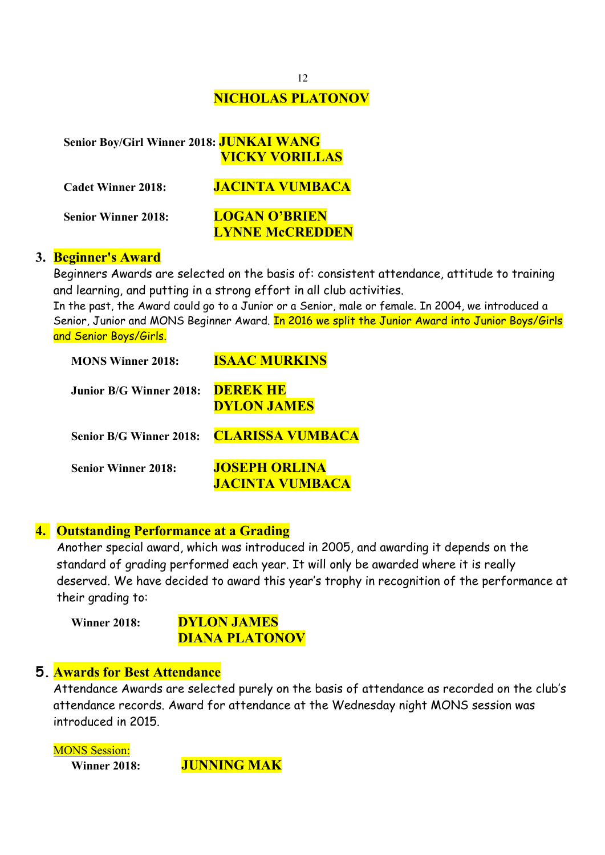# **NICHOLAS PLATONOV**

## **Senior Boy/Girl Winner 2018: JUNKAI WANG VICKY VORILLAS**

| <b>Cadet Winner 2018:</b>  | <b>JACINTA VUMBACA</b> |
|----------------------------|------------------------|
| <b>Senior Winner 2018:</b> | <b>LOGAN O'BRIEN</b>   |
|                            | <b>LYNNE McCREDDEN</b> |

#### **3. Beginner's Award**

Beginners Awards are selected on the basis of: consistent attendance, attitude to training and learning, and putting in a strong effort in all club activities.

In the past, the Award could go to a Junior or a Senior, male or female. In 2004, we introduced a Senior, Junior and MONS Beginner Award. In 2016 we split the Junior Award into Junior Boys/Girls and Senior Boys/Girls.

| <b>MONS Winner 2018:</b>       | <b>ISAAC MURKINS</b>                           |
|--------------------------------|------------------------------------------------|
| <b>Junior B/G Winner 2018:</b> | <b>DEREK HE</b><br><b>DYLON JAMES</b>          |
| <b>Senior B/G Winner 2018:</b> | <b>CLARISSA VUMBACA</b>                        |
| <b>Senior Winner 2018:</b>     | <b>JOSEPH ORLINA</b><br><b>JACINTA VUMBACA</b> |

#### **4. Outstanding Performance at a Grading**

Another special award, which was introduced in 2005, and awarding it depends on the standard of grading performed each year. It will only be awarded where it is really deserved. We have decided to award this year's trophy in recognition of the performance at their grading to:

**Winner 2018: DYLON JAMES DIANA PLATONOV**

#### **5. Awards for Best Attendance**

Attendance Awards are selected purely on the basis of attendance as recorded on the club's attendance records. Award for attendance at the Wednesday night MONS session was introduced in 2015.

MONS Session: **Winner 2018: JUNNING MAK**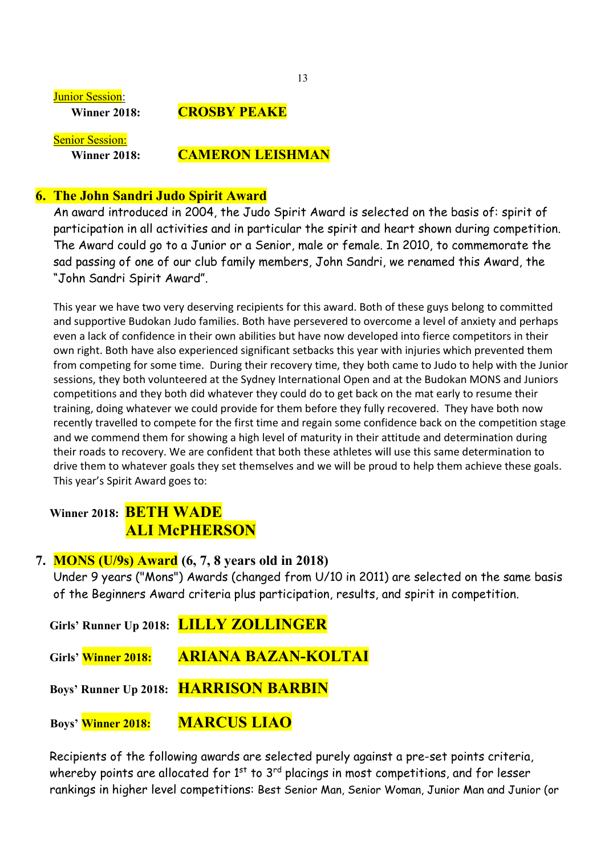**Junior Session:** 

#### **Winner 2018: CROSBY PEAKE**

Senior Session:

### **Winner 2018: CAMERON LEISHMAN**

### **6. The John Sandri Judo Spirit Award**

An award introduced in 2004, the Judo Spirit Award is selected on the basis of: spirit of participation in all activities and in particular the spirit and heart shown during competition. The Award could go to a Junior or a Senior, male or female. In 2010, to commemorate the sad passing of one of our club family members, John Sandri, we renamed this Award, the "John Sandri Spirit Award".

This year we have two very deserving recipients for this award. Both of these guys belong to committed and supportive Budokan Judo families. Both have persevered to overcome a level of anxiety and perhaps even a lack of confidence in their own abilities but have now developed into fierce competitors in their own right. Both have also experienced significant setbacks this year with injuries which prevented them from competing for some time. During their recovery time, they both came to Judo to help with the Junior sessions, they both volunteered at the Sydney International Open and at the Budokan MONS and Juniors competitions and they both did whatever they could do to get back on the mat early to resume their training, doing whatever we could provide for them before they fully recovered. They have both now recently travelled to compete for the first time and regain some confidence back on the competition stage and we commend them for showing a high level of maturity in their attitude and determination during their roads to recovery. We are confident that both these athletes will use this same determination to drive them to whatever goals they set themselves and we will be proud to help them achieve these goals. This year's Spirit Award goes to:

## **Winner 2018: BETH WADE ALI McPHERSON**

## **7. MONS (U/9s) Award (6, 7, 8 years old in 2018)**

Under 9 years ("Mons") Awards (changed from U/10 in 2011) are selected on the same basis of the Beginners Award criteria plus participation, results, and spirit in competition.

 **Girls' Runner Up 2018: LILLY ZOLLINGER**

**Girls' Winner 2018: ARIANA BAZAN-KOLTAI**

**Boys' Runner Up 2018: HARRISON BARBIN**

**Boys' Winner 2018: MARCUS LIAO** 

 Recipients of the following awards are selected purely against a pre-set points criteria, whereby points are allocated for  $1<sup>st</sup>$  to  $3<sup>rd</sup>$  placings in most competitions, and for lesser rankings in higher level competitions: Best Senior Man, Senior Woman, Junior Man and Junior (or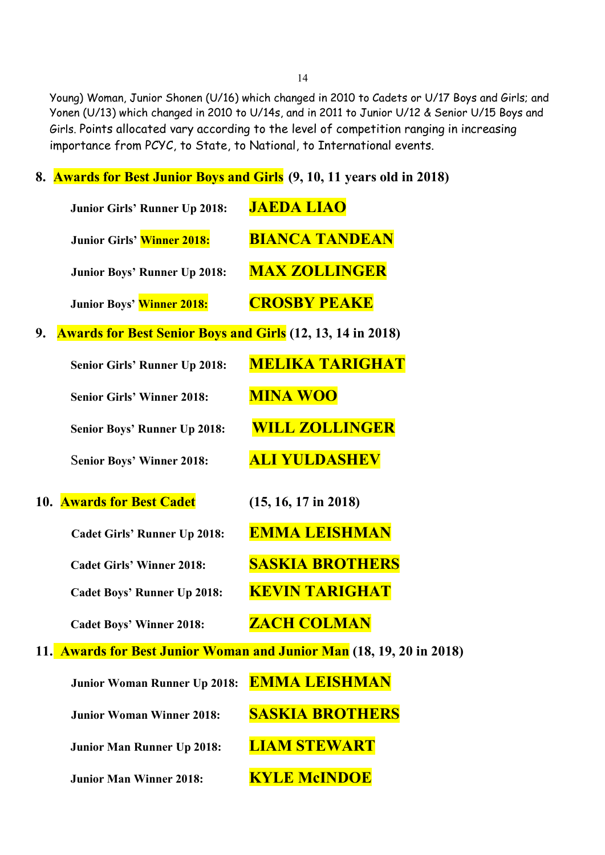Young) Woman, Junior Shonen (U/16) which changed in 2010 to Cadets or U/17 Boys and Girls; and Yonen (U/13) which changed in 2010 to U/14s, and in 2011 to Junior U/12 & Senior U/15 Boys and Girls. Points allocated vary according to the level of competition ranging in increasing importance from PCYC, to State, to National, to International events.

**8. Awards for Best Junior Boys and Girls (9, 10, 11 years old in 2018)** 

|    | Junior Girls' Runner Up 2018:                                     | <b>JAEDA LIAO</b>                                                    |
|----|-------------------------------------------------------------------|----------------------------------------------------------------------|
|    | Junior Girls' Winner 2018:                                        | <b>BIANCA TANDEAN</b>                                                |
|    | Junior Boys' Runner Up 2018:                                      | <b>MAX ZOLLINGER</b>                                                 |
|    | Junior Boys' Winner 2018:                                         | <b>CROSBY PEAKE</b>                                                  |
| 9. | <b>Awards for Best Senior Boys and Girls</b> (12, 13, 14 in 2018) |                                                                      |
|    | Senior Girls' Runner Up 2018:                                     | <b>MELIKA TARIGHAT</b>                                               |
|    | <b>Senior Girls' Winner 2018:</b>                                 | <b>MINA WOO</b>                                                      |
|    | Senior Boys' Runner Up 2018:                                      | <b>WILL ZOLLINGER</b>                                                |
|    | <b>Senior Boys' Winner 2018:</b>                                  | <b>ALI YULDASHEV</b>                                                 |
|    | 10. Awards for Best Cadet                                         | $(15, 16, 17 \text{ in } 2018)$                                      |
|    | <b>Cadet Girls' Runner Up 2018:</b>                               | <b>EMMA LEISHMAN</b>                                                 |
|    | <b>Cadet Girls' Winner 2018:</b>                                  | <b>SASKIA BROTHERS</b>                                               |
|    | <b>Cadet Boys' Runner Up 2018:</b>                                | <b>KEVIN TARIGHAT</b>                                                |
|    | <b>Cadet Boys' Winner 2018:</b>                                   | <b>ZACH COLMAN</b>                                                   |
|    |                                                                   | 11. Awards for Best Junior Woman and Junior Man (18, 19, 20 in 2018) |
|    | Junior Woman Runner Up 2018:                                      | <b>EMMA LEISHMAN</b>                                                 |
|    | <b>Junior Woman Winner 2018:</b>                                  | <b>SASKIA BROTHERS</b>                                               |

 **Junior Man Runner Up 2018: LIAM STEWART** 

**Junior Man Winner 2018: KYLE McINDOE**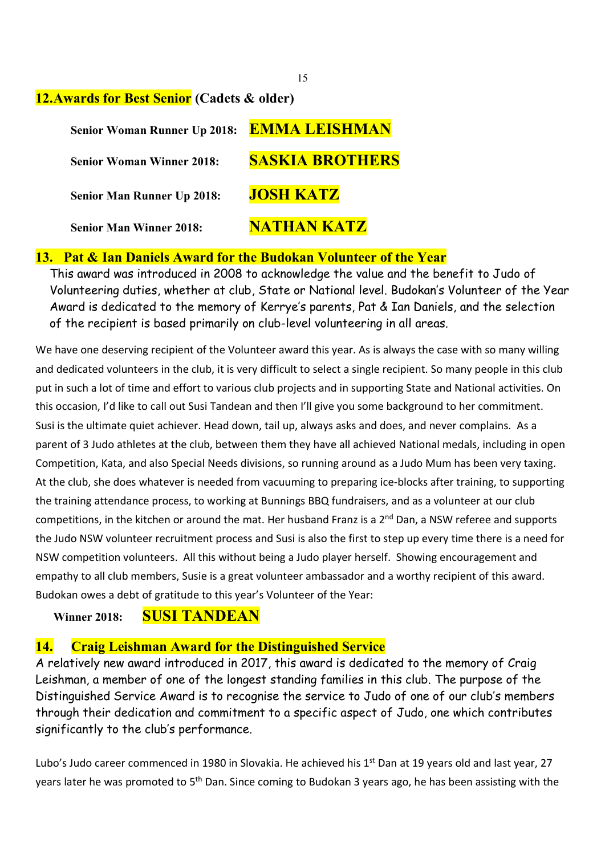#### **12.Awards for Best Senior (Cadets & older)**

| <b>Senior Woman Runner Up 2018:</b> | <b>EMMA LEISHMAN</b>   |
|-------------------------------------|------------------------|
| <b>Senior Woman Winner 2018:</b>    | <b>SASKIA BROTHERS</b> |
| <b>Senior Man Runner Up 2018:</b>   | <b>JOSH KATZ</b>       |
| <b>Senior Man Winner 2018:</b>      | NATHAN KATZ            |

#### **13. Pat & Ian Daniels Award for the Budokan Volunteer of the Year**

This award was introduced in 2008 to acknowledge the value and the benefit to Judo of Volunteering duties, whether at club, State or National level. Budokan's Volunteer of the Year Award is dedicated to the memory of Kerrye's parents, Pat & Ian Daniels, and the selection of the recipient is based primarily on club-level volunteering in all areas.

We have one deserving recipient of the Volunteer award this year. As is always the case with so many willing and dedicated volunteers in the club, it is very difficult to select a single recipient. So many people in this club put in such a lot of time and effort to various club projects and in supporting State and National activities. On this occasion, I'd like to call out Susi Tandean and then I'll give you some background to her commitment. Susi is the ultimate quiet achiever. Head down, tail up, always asks and does, and never complains. As a parent of 3 Judo athletes at the club, between them they have all achieved National medals, including in open Competition, Kata, and also Special Needs divisions, so running around as a Judo Mum has been very taxing. At the club, she does whatever is needed from vacuuming to preparing ice-blocks after training, to supporting the training attendance process, to working at Bunnings BBQ fundraisers, and as a volunteer at our club competitions, in the kitchen or around the mat. Her husband Franz is a 2<sup>nd</sup> Dan, a NSW referee and supports the Judo NSW volunteer recruitment process and Susi is also the first to step up every time there is a need for NSW competition volunteers. All this without being a Judo player herself. Showing encouragement and empathy to all club members, Susie is a great volunteer ambassador and a worthy recipient of this award. Budokan owes a debt of gratitude to this year's Volunteer of the Year:

## **Winner 2018: SUSI TANDEAN**

## **14. Craig Leishman Award for the Distinguished Service**

A relatively new award introduced in 2017, this award is dedicated to the memory of Craig Leishman, a member of one of the longest standing families in this club. The purpose of the Distinguished Service Award is to recognise the service to Judo of one of our club's members through their dedication and commitment to a specific aspect of Judo, one which contributes significantly to the club's performance.

Lubo's Judo career commenced in 1980 in Slovakia. He achieved his 1st Dan at 19 years old and last year, 27 years later he was promoted to 5<sup>th</sup> Dan. Since coming to Budokan 3 years ago, he has been assisting with the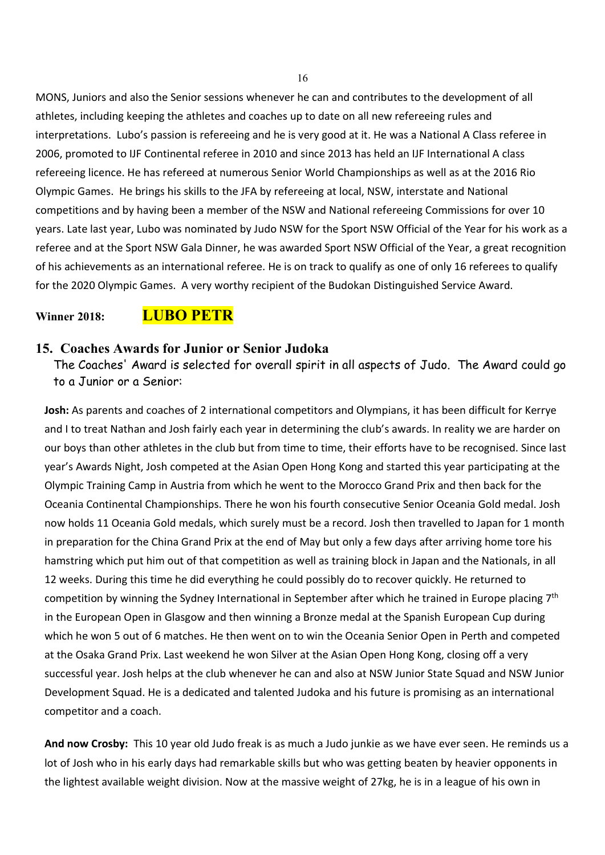MONS, Juniors and also the Senior sessions whenever he can and contributes to the development of all athletes, including keeping the athletes and coaches up to date on all new refereeing rules and interpretations. Lubo's passion is refereeing and he is very good at it. He was a National A Class referee in 2006, promoted to IJF Continental referee in 2010 and since 2013 has held an IJF International A class refereeing licence. He has refereed at numerous Senior World Championships as well as at the 2016 Rio Olympic Games. He brings his skills to the JFA by refereeing at local, NSW, interstate and National competitions and by having been a member of the NSW and National refereeing Commissions for over 10 years. Late last year, Lubo was nominated by Judo NSW for the Sport NSW Official of the Year for his work as a referee and at the Sport NSW Gala Dinner, he was awarded Sport NSW Official of the Year, a great recognition of his achievements as an international referee. He is on track to qualify as one of only 16 referees to qualify for the 2020 Olympic Games. A very worthy recipient of the Budokan Distinguished Service Award.

#### **Winner 2018: LUBO PETR**

#### **15. Coaches Awards for Junior or Senior Judoka**

The Coaches' Award is selected for overall spirit in all aspects of Judo. The Award could go to a Junior or a Senior:

**Josh:** As parents and coaches of 2 international competitors and Olympians, it has been difficult for Kerrye and I to treat Nathan and Josh fairly each year in determining the club's awards. In reality we are harder on our boys than other athletes in the club but from time to time, their efforts have to be recognised. Since last year's Awards Night, Josh competed at the Asian Open Hong Kong and started this year participating at the Olympic Training Camp in Austria from which he went to the Morocco Grand Prix and then back for the Oceania Continental Championships. There he won his fourth consecutive Senior Oceania Gold medal. Josh now holds 11 Oceania Gold medals, which surely must be a record. Josh then travelled to Japan for 1 month in preparation for the China Grand Prix at the end of May but only a few days after arriving home tore his hamstring which put him out of that competition as well as training block in Japan and the Nationals, in all 12 weeks. During this time he did everything he could possibly do to recover quickly. He returned to competition by winning the Sydney International in September after which he trained in Europe placing 7<sup>th</sup> in the European Open in Glasgow and then winning a Bronze medal at the Spanish European Cup during which he won 5 out of 6 matches. He then went on to win the Oceania Senior Open in Perth and competed at the Osaka Grand Prix. Last weekend he won Silver at the Asian Open Hong Kong, closing off a very successful year. Josh helps at the club whenever he can and also at NSW Junior State Squad and NSW Junior Development Squad. He is a dedicated and talented Judoka and his future is promising as an international competitor and a coach.

**And now Crosby:** This 10 year old Judo freak is as much a Judo junkie as we have ever seen. He reminds us a lot of Josh who in his early days had remarkable skills but who was getting beaten by heavier opponents in the lightest available weight division. Now at the massive weight of 27kg, he is in a league of his own in